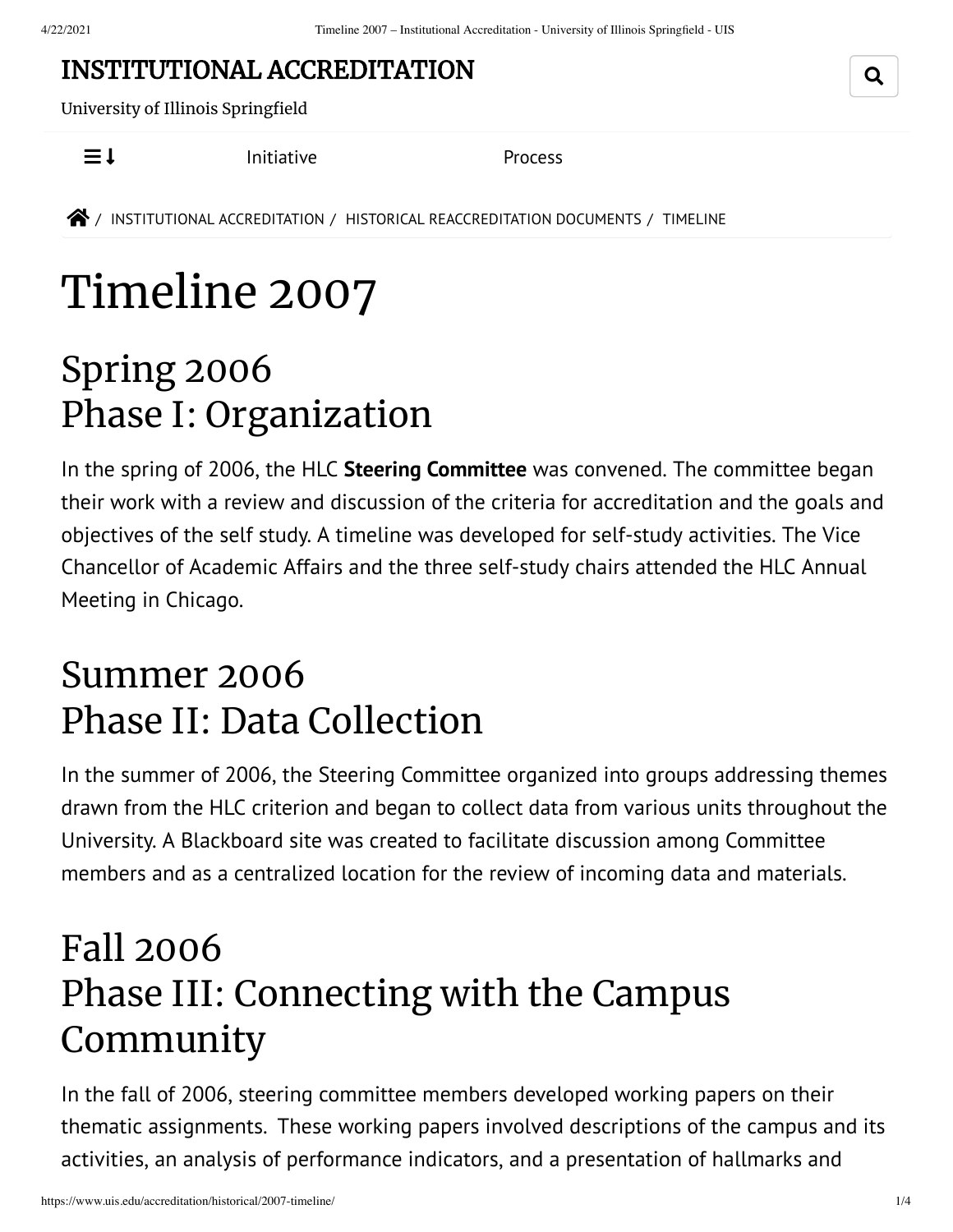#### INSTITUTIONAL [ACCREDITATION](https://www.uis.edu/accreditation/)

University of Illinois Springfield

 $\equiv$  1 [Initiative](https://www.uis.edu/accreditation/quality/) [Process](https://www.uis.edu/accreditation/about/)

**<sup>2</sup>** / INSTITUTIONAL [ACCREDITATION](https://www.uis.edu/accreditation/) / HISTORICAL [REACCREDITATION](https://www.uis.edu/accreditation/historical/) DOCUMENTS / TIMELINE

# Timeline 2007

#### Spring 2006 Phase I: Organization

In the spring of 2006, the HLC **Steering [Committee](https://www.uis.edu/accreditation/historical/2007-overview/committee/)** was convened. The committee began their work with a review and discussion of the criteria for accreditation and the goals and objectives of the self study. A timeline was developed for self-study activities. The Vice Chancellor of Academic Affairs and the three self-study chairs attended the HLC Annual Meeting in Chicago.

#### Summer 2006 Phase II: Data Collection

In the summer of 2006, the Steering Committee organized into groups addressing themes drawn from the HLC criterion and began to collect data from various units throughout the University. A Blackboard site was created to facilitate discussion among Committee members and as a centralized location for the review of incoming data and materials.

#### Fall 2006 Phase III: Connecting with the Campus Community

In the fall of 2006, steering committee members developed working papers on their thematic assignments. These working papers involved descriptions of the campus and its activities, an analysis of performance indicators, and a presentation of hallmarks and

Q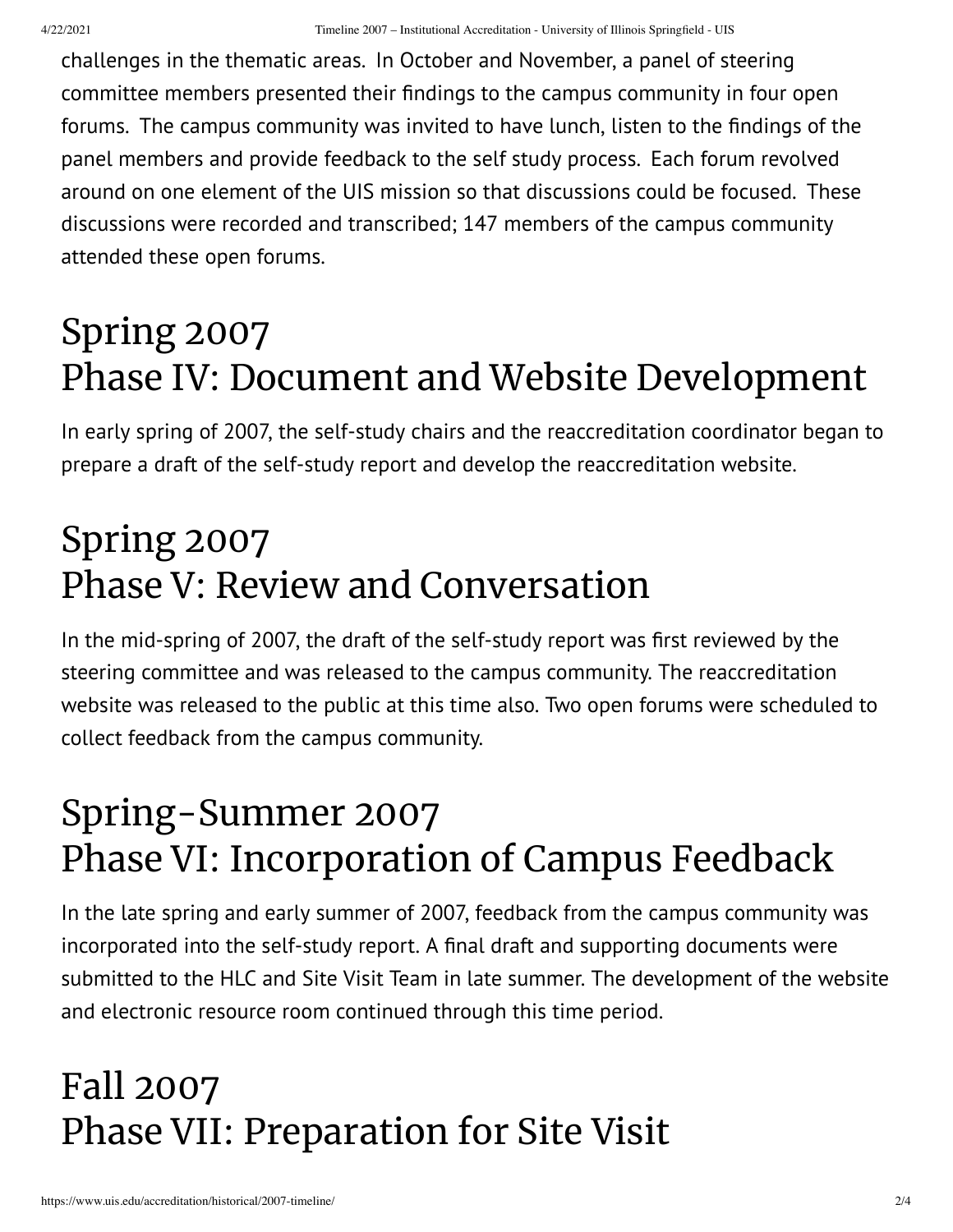challenges in the thematic areas. In October and November, a panel of steering committee members presented their findings to the campus community in four open forums. The campus community was invited to have lunch, listen to the findings of the panel members and provide feedback to the self study process. Each forum revolved around on one element of the UIS mission so that discussions could be focused. These discussions were recorded and transcribed; 147 members of the campus community attended these open forums.

### Spring 2007 Phase IV: Document and Website Development

In early spring of 2007, the self-study chairs and the reaccreditation coordinator began to prepare a draft of the self-study report and develop the reaccreditation website.

### Spring 2007 Phase V: Review and Conversation

In the mid-spring of 2007, the draft of the self-study report was first reviewed by the steering committee and was released to the campus community. The reaccreditation website was released to the public at this time also. Two open forums were scheduled to collect feedback from the campus community.

### Spring-Summer 2007 Phase VI: Incorporation of Campus Feedback

In the late spring and early summer of 2007, feedback from the campus community was incorporated into the self-study report. A final draft and supporting documents were submitted to the HLC and Site Visit Team in late summer. The development of the website and electronic resource room continued through this time period.

## Fall 2007 Phase VII: Preparation for Site Visit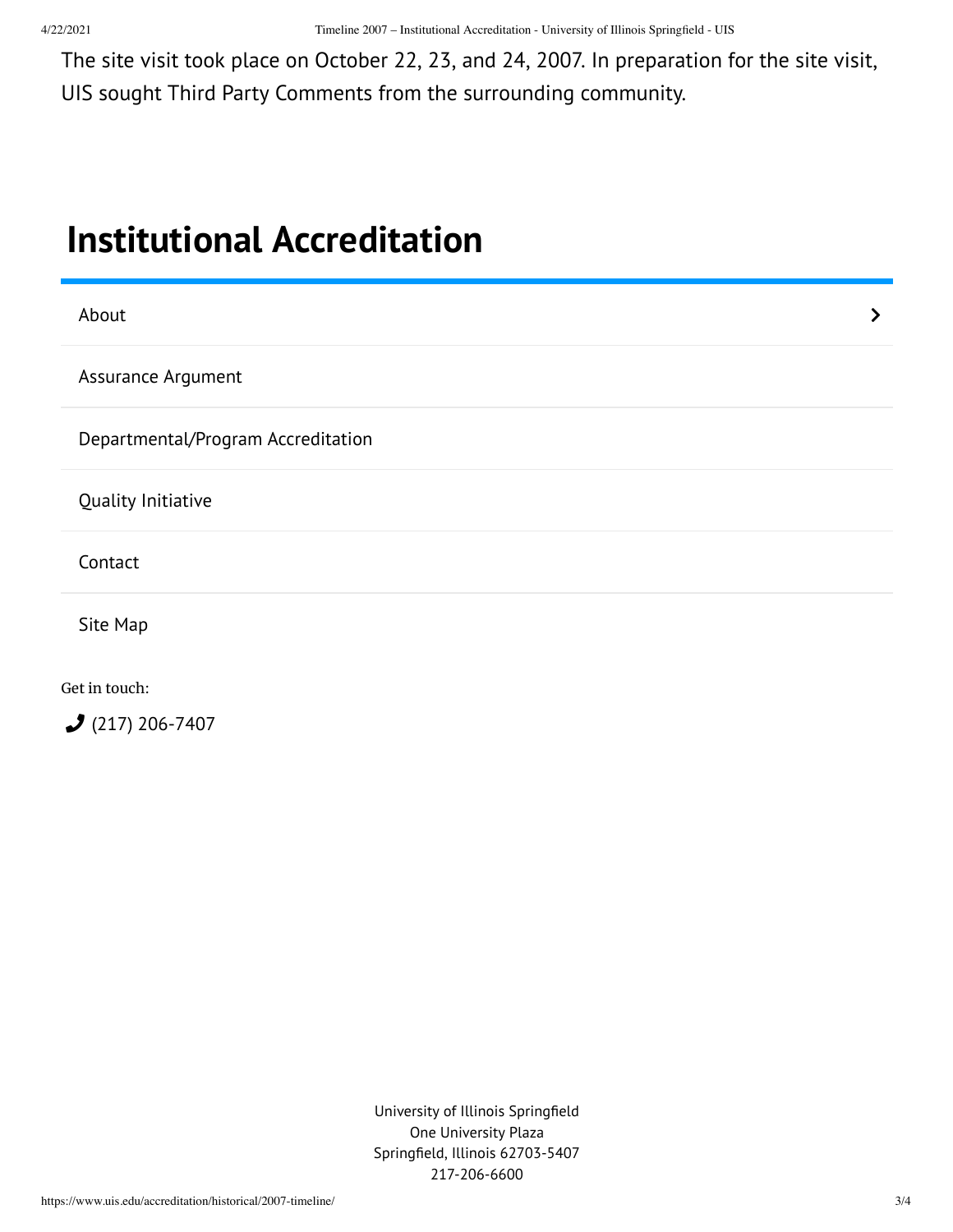The site visit took place on October 22, 23, and 24, 2007. In preparation for the site visit, UIS sought Third Party Comments from the surrounding community.

#### <span id="page-2-0"></span>**Institutional [Accreditation](https://www.uis.edu/accreditation/)**

| About                              | ≻ |
|------------------------------------|---|
| Assurance Argument                 |   |
| Departmental/Program Accreditation |   |
| Quality Initiative                 |   |
| Contact                            |   |
| Site Map                           |   |
| Get in touch:                      |   |
| $2(217)$ 206-7407                  |   |

University of Illinois Springfield One University Plaza Springfield, Illinois 62703-5407 217-206-6600